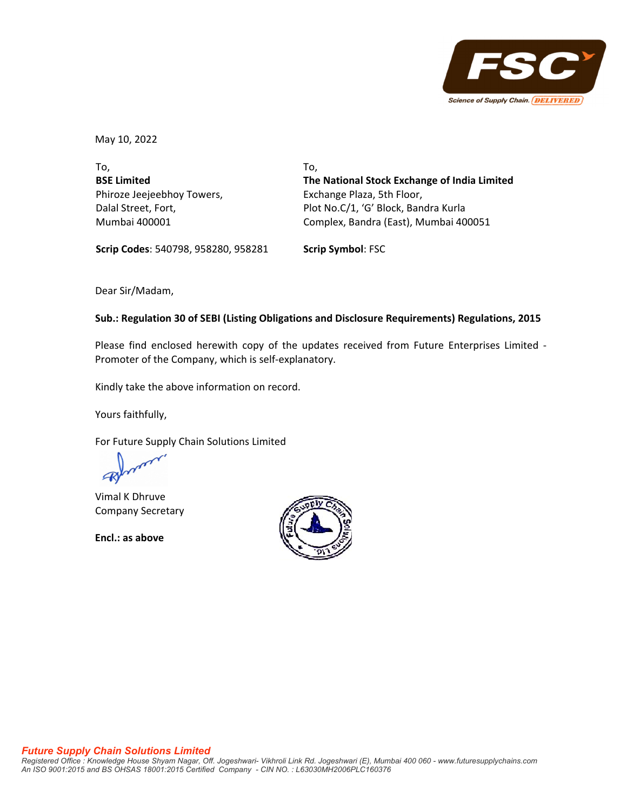

May 10, 2022

To, **BSE Limited** Phiroze Jeejeebhoy Towers, Dalal Street, Fort, Mumbai 400001

To, **The National Stock Exchange of India Limited** Exchange Plaza, 5th Floor, Plot No.C/1, 'G' Block, Bandra Kurla Complex, Bandra (East), Mumbai 400051

**Scrip Codes**: 540798, 958280, 958281 **Scrip Symbol**: FSC

Dear Sir/Madam,

## **Sub.: Regulation 30 of SEBI (Listing Obligations and Disclosure Requirements) Regulations, 2015**

Please find enclosed herewith copy of the updates received from Future Enterprises Limited ‐ Promoter of the Company, which is self‐explanatory.

Kindly take the above information on record.

Yours faithfully,

For Future Supply Chain Solutions Limited

Vimal K Dhruve Company Secretary

**Encl.: as above**

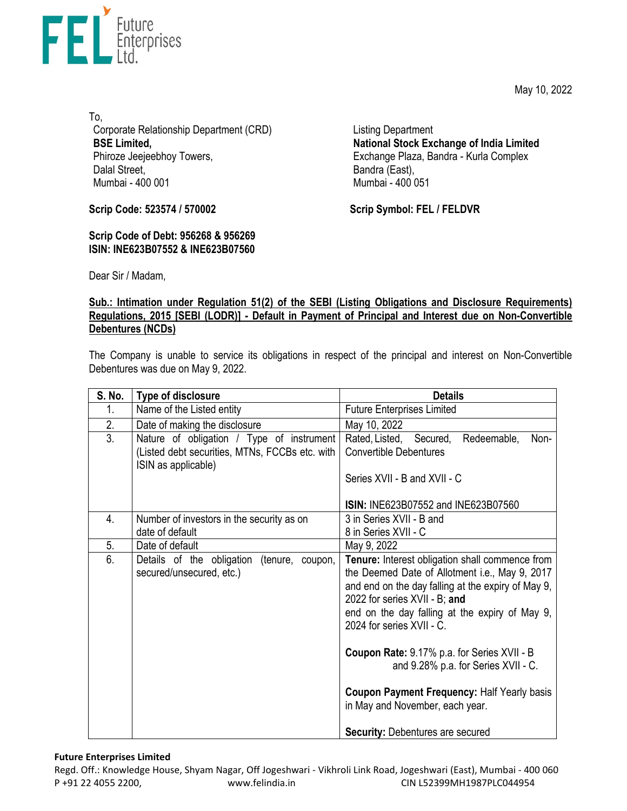May 10, 2022



To, Corporate Relationship Department (CRD) **BSE Limited,**  Phiroze Jeejeebhoy Towers, Dalal Street, Mumbai - 400 001

**Scrip Code: 523574 / 570002**

**Scrip Code of Debt: 956268 & 956269 ISIN: INE623B07552 & INE623B07560**  Listing Department **National Stock Exchange of India Limited**  Exchange Plaza, Bandra - Kurla Complex Bandra (East), Mumbai - 400 051

**Scrip Symbol: FEL / FELDVR**

Dear Sir / Madam,

## **Sub.: Intimation under Regulation 51(2) of the SEBI (Listing Obligations and Disclosure Requirements) Regulations, 2015 [SEBI (LODR)] - Default in Payment of Principal and Interest due on Non-Convertible Debentures (NCDs)**

The Company is unable to service its obligations in respect of the principal and interest on Non-Convertible Debentures was due on May 9, 2022.

| S. No. | Type of disclosure                                                                                                 | <b>Details</b>                                                                                                                                                                                                                                                                                                                                                                                                                                                                                    |
|--------|--------------------------------------------------------------------------------------------------------------------|---------------------------------------------------------------------------------------------------------------------------------------------------------------------------------------------------------------------------------------------------------------------------------------------------------------------------------------------------------------------------------------------------------------------------------------------------------------------------------------------------|
| 1.     | Name of the Listed entity                                                                                          | <b>Future Enterprises Limited</b>                                                                                                                                                                                                                                                                                                                                                                                                                                                                 |
| 2.     | Date of making the disclosure                                                                                      | May 10, 2022                                                                                                                                                                                                                                                                                                                                                                                                                                                                                      |
| 3.     | Nature of obligation / Type of instrument<br>(Listed debt securities, MTNs, FCCBs etc. with<br>ISIN as applicable) | Rated, Listed, Secured,<br>Redeemable,<br>Non-<br><b>Convertible Debentures</b><br>Series XVII - B and XVII - C<br><b>ISIN: INE623B07552 and INE623B07560</b>                                                                                                                                                                                                                                                                                                                                     |
| 4.     | Number of investors in the security as on<br>date of default                                                       | 3 in Series XVII - B and<br>8 in Series XVII - C                                                                                                                                                                                                                                                                                                                                                                                                                                                  |
| 5.     | Date of default                                                                                                    | May 9, 2022                                                                                                                                                                                                                                                                                                                                                                                                                                                                                       |
| 6.     | Details of the obligation<br>(tenure, coupon,<br>secured/unsecured, etc.)                                          | Tenure: Interest obligation shall commence from<br>the Deemed Date of Allotment i.e., May 9, 2017<br>and end on the day falling at the expiry of May 9,<br>2022 for series XVII - B; and<br>end on the day falling at the expiry of May 9,<br>2024 for series XVII - C.<br>Coupon Rate: 9.17% p.a. for Series XVII - B<br>and 9.28% p.a. for Series XVII - C.<br><b>Coupon Payment Frequency: Half Yearly basis</b><br>in May and November, each year.<br><b>Security: Debentures are secured</b> |

## **Future Enterprises Limited**

Regd. Off.: Knowledge House, Shyam Nagar, Off Jogeshwari ‐ Vikhroli Link Road, Jogeshwari (East), Mumbai ‐ 400 060 P +91 22 4055 2200, www.felindia.in CIN L52399MH1987PLC044954